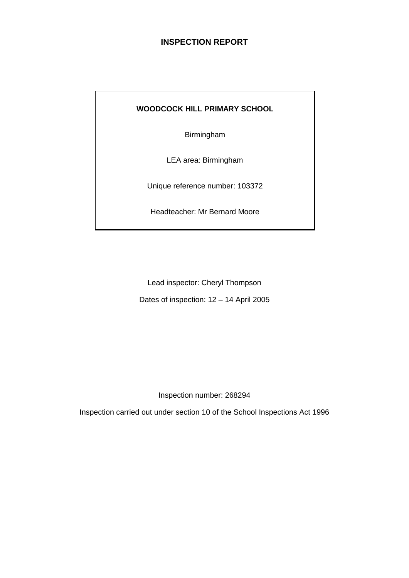# **INSPECTION REPORT**

### **WOODCOCK HILL PRIMARY SCHOOL**

Birmingham

LEA area: Birmingham

Unique reference number: 103372

Headteacher: Mr Bernard Moore

Lead inspector: Cheryl Thompson

Dates of inspection: 12 – 14 April 2005

Inspection number: 268294

Inspection carried out under section 10 of the School Inspections Act 1996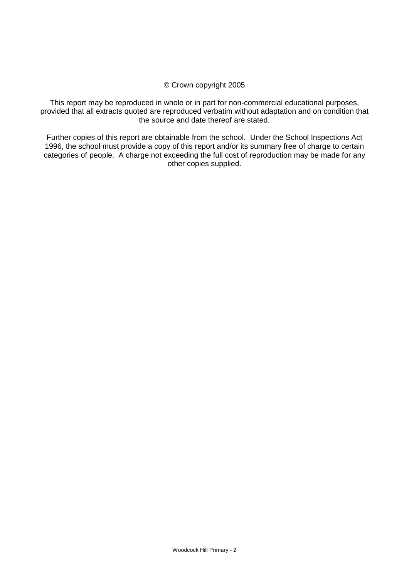#### © Crown copyright 2005

This report may be reproduced in whole or in part for non-commercial educational purposes, provided that all extracts quoted are reproduced verbatim without adaptation and on condition that the source and date thereof are stated.

Further copies of this report are obtainable from the school. Under the School Inspections Act 1996, the school must provide a copy of this report and/or its summary free of charge to certain categories of people. A charge not exceeding the full cost of reproduction may be made for any other copies supplied.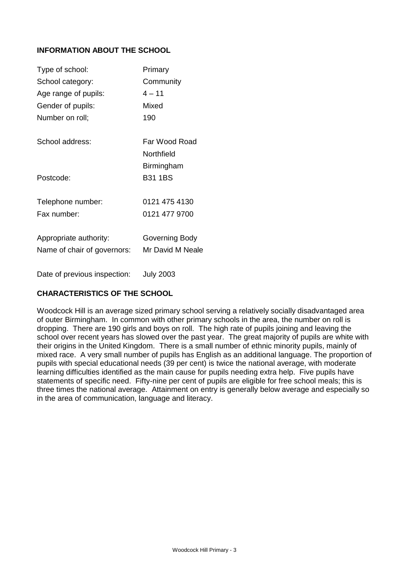# **INFORMATION ABOUT THE SCHOOL**

| Type of school:             | Primary          |
|-----------------------------|------------------|
| School category:            | Community        |
| Age range of pupils:        | $4 - 11$         |
| Gender of pupils:           | Mixed            |
| Number on roll;             | 190              |
| School address:             | Far Wood Road    |
|                             | Northfield       |
|                             | Birmingham       |
| Postcode:                   | <b>B31 1BS</b>   |
| Telephone number:           | 0121 475 4130    |
| Fax number:                 | 0121 477 9700    |
| Appropriate authority:      | Governing Body   |
| Name of chair of governors: | Mr David M Neale |
|                             |                  |

Date of previous inspection: July 2003

# **CHARACTERISTICS OF THE SCHOOL**

Woodcock Hill is an average sized primary school serving a relatively socially disadvantaged area of outer Birmingham. In common with other primary schools in the area, the number on roll is dropping. There are 190 girls and boys on roll. The high rate of pupils joining and leaving the school over recent years has slowed over the past year. The great majority of pupils are white with their origins in the United Kingdom. There is a small number of ethnic minority pupils, mainly of mixed race. A very small number of pupils has English as an additional language. The proportion of pupils with special educational needs (39 per cent) is twice the national average, with moderate learning difficulties identified as the main cause for pupils needing extra help. Five pupils have statements of specific need. Fifty-nine per cent of pupils are eligible for free school meals; this is three times the national average. Attainment on entry is generally below average and especially so in the area of communication, language and literacy.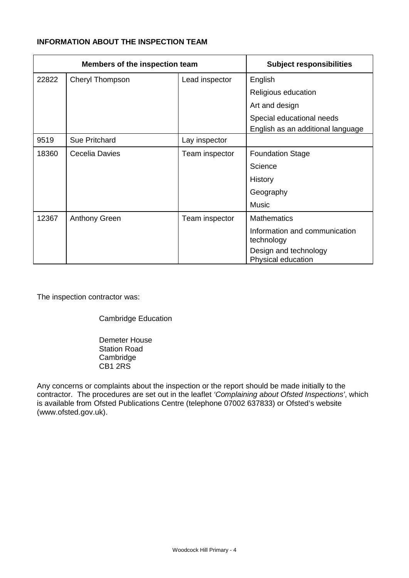# **INFORMATION ABOUT THE INSPECTION TEAM**

| Members of the inspection team |                      | <b>Subject responsibilities</b> |                                             |
|--------------------------------|----------------------|---------------------------------|---------------------------------------------|
| 22822                          | Cheryl Thompson      | Lead inspector                  | English                                     |
|                                |                      |                                 | Religious education                         |
|                                |                      |                                 | Art and design                              |
|                                |                      |                                 | Special educational needs                   |
|                                |                      |                                 | English as an additional language           |
| 9519                           | Sue Pritchard        | Lay inspector                   |                                             |
| 18360                          | Cecelia Davies       | Team inspector                  | <b>Foundation Stage</b>                     |
|                                |                      |                                 | Science                                     |
|                                |                      |                                 | History                                     |
|                                |                      |                                 | Geography                                   |
|                                |                      |                                 | Music                                       |
| 12367                          | <b>Anthony Green</b> | Team inspector                  | <b>Mathematics</b>                          |
|                                |                      |                                 | Information and communication<br>technology |
|                                |                      |                                 | Design and technology<br>Physical education |

The inspection contractor was:

Cambridge Education

Demeter House Station Road **Cambridge** CB1 2RS

Any concerns or complaints about the inspection or the report should be made initially to the contractor. The procedures are set out in the leaflet *'Complaining about Ofsted Inspections'*, which is available from Ofsted Publications Centre (telephone 07002 637833) or Ofsted's website (www.ofsted.gov.uk).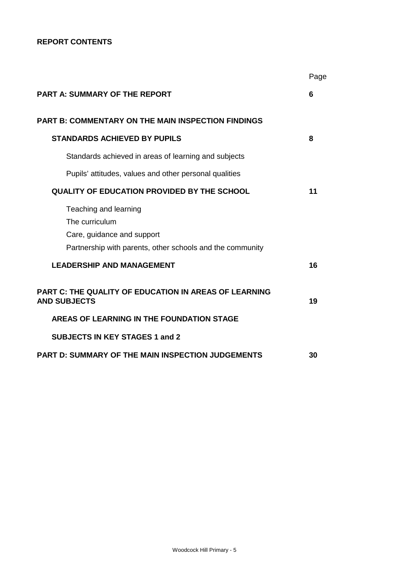### **REPORT CONTENTS**

|                                                                                                                                    | Page |
|------------------------------------------------------------------------------------------------------------------------------------|------|
| <b>PART A: SUMMARY OF THE REPORT</b>                                                                                               | 6    |
| <b>PART B: COMMENTARY ON THE MAIN INSPECTION FINDINGS</b>                                                                          |      |
| <b>STANDARDS ACHIEVED BY PUPILS</b>                                                                                                | 8    |
| Standards achieved in areas of learning and subjects                                                                               |      |
| Pupils' attitudes, values and other personal qualities                                                                             |      |
| QUALITY OF EDUCATION PROVIDED BY THE SCHOOL                                                                                        | 11   |
| Teaching and learning<br>The curriculum<br>Care, guidance and support<br>Partnership with parents, other schools and the community |      |
| <b>LEADERSHIP AND MANAGEMENT</b>                                                                                                   | 16   |
| PART C: THE QUALITY OF EDUCATION IN AREAS OF LEARNING<br><b>AND SUBJECTS</b>                                                       | 19   |
| AREAS OF LEARNING IN THE FOUNDATION STAGE                                                                                          |      |
| <b>SUBJECTS IN KEY STAGES 1 and 2</b>                                                                                              |      |
| <b>PART D: SUMMARY OF THE MAIN INSPECTION JUDGEMENTS</b>                                                                           | 30   |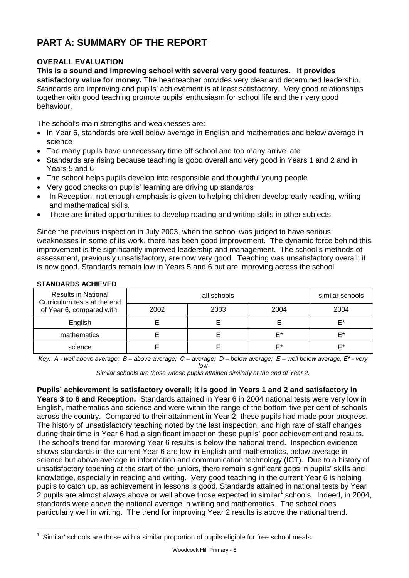# **PART A: SUMMARY OF THE REPORT**

# **OVERALL EVALUATION**

**This is a sound and improving school with several very good features. It provides** 

**satisfactory value for money.** The headteacher provides very clear and determined leadership. Standards are improving and pupils' achievement is at least satisfactory. Very good relationships together with good teaching promote pupils' enthusiasm for school life and their very good behaviour.

The school's main strengths and weaknesses are:

- In Year 6, standards are well below average in English and mathematics and below average in science
- Too many pupils have unnecessary time off school and too many arrive late
- Standards are rising because teaching is good overall and very good in Years 1 and 2 and in Years 5 and 6
- The school helps pupils develop into responsible and thoughtful young people
- Very good checks on pupils' learning are driving up standards
- In Reception, not enough emphasis is given to helping children develop early reading, writing and mathematical skills.
- There are limited opportunities to develop reading and writing skills in other subjects

Since the previous inspection in July 2003, when the school was judged to have serious weaknesses in some of its work, there has been good improvement. The dynamic force behind this improvement is the significantly improved leadership and management. The school's methods of assessment, previously unsatisfactory, are now very good. Teaching was unsatisfactory overall; it is now good. Standards remain low in Years 5 and 6 but are improving across the school.

| <b>Results in National</b><br>Curriculum tests at the end<br>of Year 6, compared with: |      | similar schools |      |      |
|----------------------------------------------------------------------------------------|------|-----------------|------|------|
|                                                                                        | 2002 | 2003            | 2004 | 2004 |
| English                                                                                |      |                 |      | F*   |
| mathematics                                                                            |      |                 | F*   | F*   |
| science                                                                                |      |                 | F*   | F*   |

### **STANDARDS ACHIEVED**

*Key: A - well above average; B – above average; C – average; D – below average; E – well below average, E\* - very low*

*Similar schools are those whose pupils attained similarly at the end of Year 2.*

**Pupils' achievement is satisfactory overall; it is good in Years 1 and 2 and satisfactory in Years 3 to 6 and Reception.** Standards attained in Year 6 in 2004 national tests were very low in English, mathematics and science and were within the range of the bottom five per cent of schools across the country. Compared to their attainment in Year 2, these pupils had made poor progress. The history of unsatisfactory teaching noted by the last inspection, and high rate of staff changes during their time in Year 6 had a significant impact on these pupils' poor achievement and results. The school's trend for improving Year 6 results is below the national trend. Inspection evidence shows standards in the current Year 6 are low in English and mathematics, below average in science but above average in information and communication technology (ICT). Due to a history of unsatisfactory teaching at the start of the juniors, there remain significant gaps in pupils' skills and knowledge, especially in reading and writing. Very good teaching in the current Year 6 is helping pupils to catch up, as achievement in lessons is good. Standards attained in national tests by Year 2 pupils are almost always above or well above those expected in similar<sup>1</sup> schools. Indeed, in 2004, standards were above the national average in writing and mathematics. The school does particularly well in writing. The trend for improving Year 2 results is above the national trend.

 $\overline{a}$  $1$  'Similar' schools are those with a similar proportion of pupils eligible for free school meals.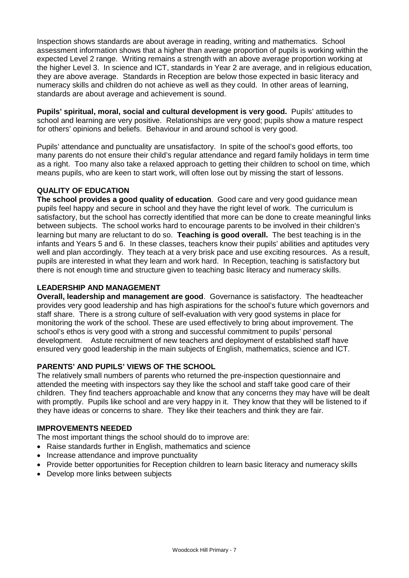Inspection shows standards are about average in reading, writing and mathematics. School assessment information shows that a higher than average proportion of pupils is working within the expected Level 2 range. Writing remains a strength with an above average proportion working at the higher Level 3. In science and ICT, standards in Year 2 are average, and in religious education, they are above average. Standards in Reception are below those expected in basic literacy and numeracy skills and children do not achieve as well as they could. In other areas of learning, standards are about average and achievement is sound.

**Pupils' spiritual, moral, social and cultural development is very good.** Pupils' attitudes to school and learning are very positive. Relationships are very good; pupils show a mature respect for others' opinions and beliefs. Behaviour in and around school is very good.

Pupils' attendance and punctuality are unsatisfactory. In spite of the school's good efforts, too many parents do not ensure their child's regular attendance and regard family holidays in term time as a right. Too many also take a relaxed approach to getting their children to school on time, which means pupils, who are keen to start work, will often lose out by missing the start of lessons.

# **QUALITY OF EDUCATION**

**The school provides a good quality of education**. Good care and very good guidance mean pupils feel happy and secure in school and they have the right level of work. The curriculum is satisfactory, but the school has correctly identified that more can be done to create meaningful links between subjects. The school works hard to encourage parents to be involved in their children's learning but many are reluctant to do so. **Teaching is good overall.** The best teaching is in the infants and Years 5 and 6. In these classes, teachers know their pupils' abilities and aptitudes very well and plan accordingly. They teach at a very brisk pace and use exciting resources. As a result, pupils are interested in what they learn and work hard. In Reception, teaching is satisfactory but there is not enough time and structure given to teaching basic literacy and numeracy skills.

### **LEADERSHIP AND MANAGEMENT**

**Overall, leadership and management are good**. Governance is satisfactory. The headteacher provides very good leadership and has high aspirations for the school's future which governors and staff share. There is a strong culture of self-evaluation with very good systems in place for monitoring the work of the school. These are used effectively to bring about improvement. The school's ethos is very good with a strong and successful commitment to pupils' personal development. Astute recruitment of new teachers and deployment of established staff have ensured very good leadership in the main subjects of English, mathematics, science and ICT.

# **PARENTS' AND PUPILS' VIEWS OF THE SCHOOL**

The relatively small numbers of parents who returned the pre-inspection questionnaire and attended the meeting with inspectors say they like the school and staff take good care of their children. They find teachers approachable and know that any concerns they may have will be dealt with promptly. Pupils like school and are very happy in it. They know that they will be listened to if they have ideas or concerns to share. They like their teachers and think they are fair.

### **IMPROVEMENTS NEEDED**

The most important things the school should do to improve are:

- Raise standards further in English, mathematics and science
- Increase attendance and improve punctuality
- Provide better opportunities for Reception children to learn basic literacy and numeracy skills
- Develop more links between subjects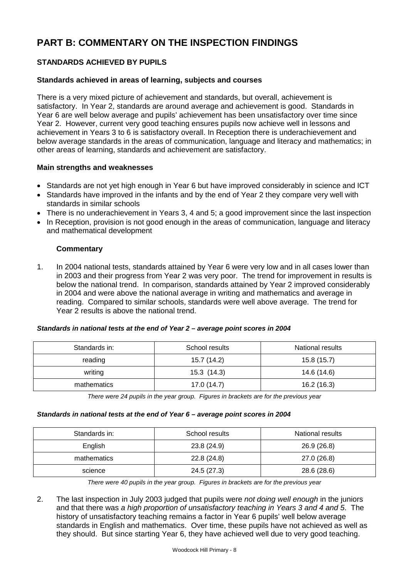# **PART B: COMMENTARY ON THE INSPECTION FINDINGS**

# **STANDARDS ACHIEVED BY PUPILS**

### **Standards achieved in areas of learning, subjects and courses**

There is a very mixed picture of achievement and standards, but overall, achievement is satisfactory. In Year 2, standards are around average and achievement is good. Standards in Year 6 are well below average and pupils' achievement has been unsatisfactory over time since Year 2. However, current very good teaching ensures pupils now achieve well in lessons and achievement in Years 3 to 6 is satisfactory overall. In Reception there is underachievement and below average standards in the areas of communication, language and literacy and mathematics; in other areas of learning, standards and achievement are satisfactory.

### **Main strengths and weaknesses**

- Standards are not yet high enough in Year 6 but have improved considerably in science and ICT
- Standards have improved in the infants and by the end of Year 2 they compare very well with standards in similar schools
- There is no underachievement in Years 3, 4 and 5; a good improvement since the last inspection
- In Reception, provision is not good enough in the areas of communication, language and literacy and mathematical development

### **Commentary**

1. In 2004 national tests, standards attained by Year 6 were very low and in all cases lower than in 2003 and their progress from Year 2 was very poor. The trend for improvement in results is below the national trend. In comparison, standards attained by Year 2 improved considerably in 2004 and were above the national average in writing and mathematics and average in reading. Compared to similar schools, standards were well above average. The trend for Year 2 results is above the national trend.

#### *Standards in national tests at the end of Year 2 – average point scores in 2004*

| Standards in: | School results | <b>National results</b> |  |  |
|---------------|----------------|-------------------------|--|--|
| reading       | 15.7 (14.2)    | 15.8(15.7)              |  |  |
| writing       | 15.3(14.3)     | 14.6 (14.6)             |  |  |
| mathematics   | 17.0(14.7)     | 16.2(16.3)              |  |  |

*There were 24 pupils in the year group. Figures in brackets are for the previous year* 

#### *Standards in national tests at the end of Year 6 – average point scores in 2004*

| Standards in: | School results | National results |
|---------------|----------------|------------------|
| English       | 23.8 (24.9)    | 26.9(26.8)       |
| mathematics   | 22.8(24.8)     | 27.0 (26.8)      |
| science       | 24.5 (27.3)    | 28.6 (28.6)      |

*There were 40 pupils in the year group. Figures in brackets are for the previous year*

2. The last inspection in July 2003 judged that pupils were *not doing well enough* in the juniors and that there was *a high proportion of unsatisfactory teaching in Years 3 and 4 and 5*. The history of unsatisfactory teaching remains a factor in Year 6 pupils' well below average standards in English and mathematics. Over time, these pupils have not achieved as well as they should. But since starting Year 6, they have achieved well due to very good teaching.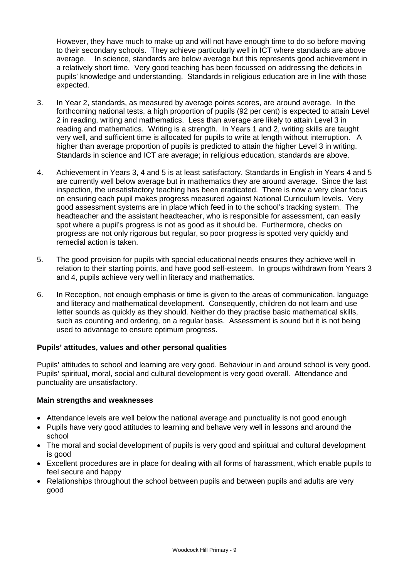However, they have much to make up and will not have enough time to do so before moving to their secondary schools. They achieve particularly well in ICT where standards are above average. In science, standards are below average but this represents good achievement in a relatively short time. Very good teaching has been focussed on addressing the deficits in pupils' knowledge and understanding. Standards in religious education are in line with those expected.

- 3. In Year 2, standards, as measured by average points scores, are around average. In the forthcoming national tests, a high proportion of pupils (92 per cent) is expected to attain Level 2 in reading, writing and mathematics. Less than average are likely to attain Level 3 in reading and mathematics. Writing is a strength. In Years 1 and 2, writing skills are taught very well, and sufficient time is allocated for pupils to write at length without interruption. A higher than average proportion of pupils is predicted to attain the higher Level 3 in writing. Standards in science and ICT are average; in religious education, standards are above.
- 4. Achievement in Years 3, 4 and 5 is at least satisfactory. Standards in English in Years 4 and 5 are currently well below average but in mathematics they are around average. Since the last inspection, the unsatisfactory teaching has been eradicated. There is now a very clear focus on ensuring each pupil makes progress measured against National Curriculum levels. Very good assessment systems are in place which feed in to the school's tracking system. The headteacher and the assistant headteacher, who is responsible for assessment, can easily spot where a pupil's progress is not as good as it should be. Furthermore, checks on progress are not only rigorous but regular, so poor progress is spotted very quickly and remedial action is taken.
- 5. The good provision for pupils with special educational needs ensures they achieve well in relation to their starting points, and have good self-esteem. In groups withdrawn from Years 3 and 4, pupils achieve very well in literacy and mathematics.
- 6. In Reception, not enough emphasis or time is given to the areas of communication, language and literacy and mathematical development. Consequently, children do not learn and use letter sounds as quickly as they should. Neither do they practise basic mathematical skills, such as counting and ordering, on a regular basis. Assessment is sound but it is not being used to advantage to ensure optimum progress.

### **Pupils' attitudes, values and other personal qualities**

Pupils' attitudes to school and learning are very good. Behaviour in and around school is very good. Pupils' spiritual, moral, social and cultural development is very good overall. Attendance and punctuality are unsatisfactory.

### **Main strengths and weaknesses**

- Attendance levels are well below the national average and punctuality is not good enough
- Pupils have very good attitudes to learning and behave very well in lessons and around the school
- The moral and social development of pupils is very good and spiritual and cultural development is good
- Excellent procedures are in place for dealing with all forms of harassment, which enable pupils to feel secure and happy
- Relationships throughout the school between pupils and between pupils and adults are very good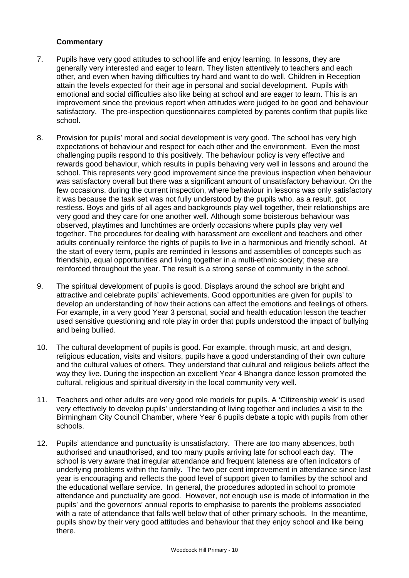- 7. Pupils have very good attitudes to school life and enjoy learning. In lessons, they are generally very interested and eager to learn. They listen attentively to teachers and each other, and even when having difficulties try hard and want to do well. Children in Reception attain the levels expected for their age in personal and social development. Pupils with emotional and social difficulties also like being at school and are eager to learn. This is an improvement since the previous report when attitudes were judged to be good and behaviour satisfactory. The pre-inspection questionnaires completed by parents confirm that pupils like school.
- 8. Provision for pupils' moral and social development is very good. The school has very high expectations of behaviour and respect for each other and the environment. Even the most challenging pupils respond to this positively. The behaviour policy is very effective and rewards good behaviour, which results in pupils behaving very well in lessons and around the school. This represents very good improvement since the previous inspection when behaviour was satisfactory overall but there was a significant amount of unsatisfactory behaviour. On the few occasions, during the current inspection, where behaviour in lessons was only satisfactory it was because the task set was not fully understood by the pupils who, as a result, got restless. Boys and girls of all ages and backgrounds play well together, their relationships are very good and they care for one another well. Although some boisterous behaviour was observed, playtimes and lunchtimes are orderly occasions where pupils play very well together. The procedures for dealing with harassment are excellent and teachers and other adults continually reinforce the rights of pupils to live in a harmonious and friendly school. At the start of every term, pupils are reminded in lessons and assemblies of concepts such as friendship, equal opportunities and living together in a multi-ethnic society; these are reinforced throughout the year. The result is a strong sense of community in the school.
- 9. The spiritual development of pupils is good. Displays around the school are bright and attractive and celebrate pupils' achievements. Good opportunities are given for pupils' to develop an understanding of how their actions can affect the emotions and feelings of others. For example, in a very good Year 3 personal, social and health education lesson the teacher used sensitive questioning and role play in order that pupils understood the impact of bullying and being bullied.
- 10. The cultural development of pupils is good. For example, through music, art and design, religious education, visits and visitors, pupils have a good understanding of their own culture and the cultural values of others. They understand that cultural and religious beliefs affect the way they live. During the inspection an excellent Year 4 Bhangra dance lesson promoted the cultural, religious and spiritual diversity in the local community very well.
- 11. Teachers and other adults are very good role models for pupils. A 'Citizenship week' is used very effectively to develop pupils' understanding of living together and includes a visit to the Birmingham City Council Chamber, where Year 6 pupils debate a topic with pupils from other schools.
- 12. Pupils' attendance and punctuality is unsatisfactory. There are too many absences, both authorised and unauthorised, and too many pupils arriving late for school each day. The school is very aware that irregular attendance and frequent lateness are often indicators of underlying problems within the family. The two per cent improvement in attendance since last year is encouraging and reflects the good level of support given to families by the school and the educational welfare service. In general, the procedures adopted in school to promote attendance and punctuality are good. However, not enough use is made of information in the pupils' and the governors' annual reports to emphasise to parents the problems associated with a rate of attendance that falls well below that of other primary schools. In the meantime, pupils show by their very good attitudes and behaviour that they enjoy school and like being there.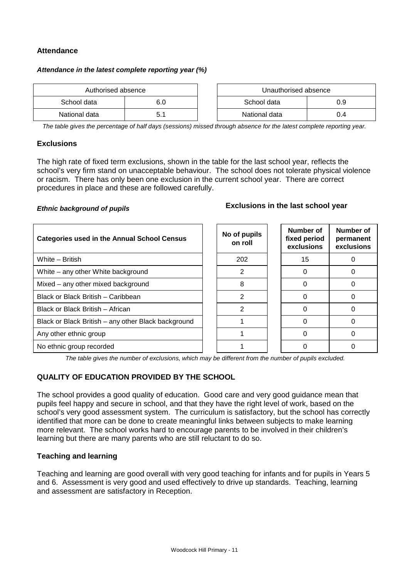### **Attendance**

#### *Attendance in the latest complete reporting year (%)*

| Authorised absence |     | Unauthorised absence |     |
|--------------------|-----|----------------------|-----|
| School data        | 6.0 | School data          |     |
| National data      | 5.1 | National data        | 0.4 |

*The table gives the percentage of half days (sessions) missed through absence for the latest complete reporting year.*

#### **Exclusions**

The high rate of fixed term exclusions, shown in the table for the last school year, reflects the school's very firm stand on unacceptable behaviour. The school does not tolerate physical violence or racism. There has only been one exclusion in the current school year. There are correct procedures in place and these are followed carefully.

# *Ethnic background of pupils* **Exclusions in the last school year**

| <b>Categories used in the Annual School Census</b>  | No of pupils<br>on roll | Number of<br>fixed period<br>exclusions | Number of<br>permanent<br>exclusions |
|-----------------------------------------------------|-------------------------|-----------------------------------------|--------------------------------------|
| White - British                                     | 202                     | 15                                      |                                      |
| White – any other White background                  | 2                       | ∩                                       |                                      |
| Mixed – any other mixed background                  | 8                       |                                         |                                      |
| Black or Black British - Caribbean                  | 2                       |                                         |                                      |
| Black or Black British - African                    | 2                       |                                         |                                      |
| Black or Black British – any other Black background |                         |                                         |                                      |
| Any other ethnic group                              |                         |                                         |                                      |
| No ethnic group recorded                            |                         |                                         |                                      |

*The table gives the number of exclusions, which may be different from the number of pupils excluded.*

# **QUALITY OF EDUCATION PROVIDED BY THE SCHOOL**

The school provides a good quality of education. Good care and very good guidance mean that pupils feel happy and secure in school, and that they have the right level of work, based on the school's very good assessment system. The curriculum is satisfactory, but the school has correctly identified that more can be done to create meaningful links between subjects to make learning more relevant. The school works hard to encourage parents to be involved in their children's learning but there are many parents who are still reluctant to do so.

### **Teaching and learning**

Teaching and learning are good overall with very good teaching for infants and for pupils in Years 5 and 6. Assessment is very good and used effectively to drive up standards. Teaching, learning and assessment are satisfactory in Reception.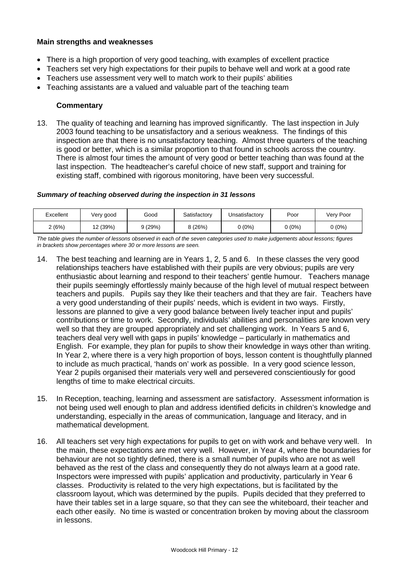### **Main strengths and weaknesses**

- There is a high proportion of very good teaching, with examples of excellent practice
- Teachers set very high expectations for their pupils to behave well and work at a good rate
- Teachers use assessment very well to match work to their pupils' abilities
- Teaching assistants are a valued and valuable part of the teaching team

### **Commentary**

13. The quality of teaching and learning has improved significantly. The last inspection in July 2003 found teaching to be unsatisfactory and a serious weakness. The findings of this inspection are that there is no unsatisfactory teaching. Almost three quarters of the teaching is good or better, which is a similar proportion to that found in schools across the country. There is almost four times the amount of very good or better teaching than was found at the last inspection. The headteacher's careful choice of new staff, support and training for existing staff, combined with rigorous monitoring, have been very successful.

#### *Summary of teaching observed during the inspection in 31 lessons*

| Excellent | √ery good | Good   | Satisfactory | Unsatisfactory | Poor   | Very Poor |
|-----------|-----------|--------|--------------|----------------|--------|-----------|
| 2(6%)     | 12 (39%)  | 9(29%) | 3 (26%)      | $0(0\%)$       | 0 (0%) | 0 (0%)    |

*The table gives the number of lessons observed in each of the seven categories used to make judgements about lessons; figures in brackets show percentages where 30 or more lessons are seen.*

- 14. The best teaching and learning are in Years 1, 2, 5 and 6. In these classes the very good relationships teachers have established with their pupils are very obvious; pupils are very enthusiastic about learning and respond to their teachers' gentle humour. Teachers manage their pupils seemingly effortlessly mainly because of the high level of mutual respect between teachers and pupils. Pupils say they like their teachers and that they are fair. Teachers have a very good understanding of their pupils' needs, which is evident in two ways. Firstly, lessons are planned to give a very good balance between lively teacher input and pupils' contributions or time to work. Secondly, individuals' abilities and personalities are known very well so that they are grouped appropriately and set challenging work. In Years 5 and 6, teachers deal very well with gaps in pupils' knowledge – particularly in mathematics and English. For example, they plan for pupils to show their knowledge in ways other than writing. In Year 2, where there is a very high proportion of boys, lesson content is thoughtfully planned to include as much practical, 'hands on' work as possible. In a very good science lesson, Year 2 pupils organised their materials very well and persevered conscientiously for good lengths of time to make electrical circuits.
- 15. In Reception, teaching, learning and assessment are satisfactory. Assessment information is not being used well enough to plan and address identified deficits in children's knowledge and understanding, especially in the areas of communication, language and literacy, and in mathematical development.
- 16. All teachers set very high expectations for pupils to get on with work and behave very well. In the main, these expectations are met very well. However, in Year 4, where the boundaries for behaviour are not so tightly defined, there is a small number of pupils who are not as well behaved as the rest of the class and consequently they do not always learn at a good rate. Inspectors were impressed with pupils' application and productivity, particularly in Year 6 classes. Productivity is related to the very high expectations, but is facilitated by the classroom layout, which was determined by the pupils. Pupils decided that they preferred to have their tables set in a large square, so that they can see the whiteboard, their teacher and each other easily. No time is wasted or concentration broken by moving about the classroom in lessons.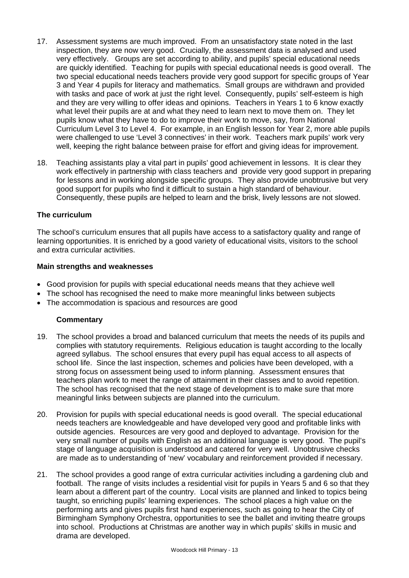- 17. Assessment systems are much improved. From an unsatisfactory state noted in the last inspection, they are now very good. Crucially, the assessment data is analysed and used very effectively. Groups are set according to ability, and pupils' special educational needs are quickly identified. Teaching for pupils with special educational needs is good overall. The two special educational needs teachers provide very good support for specific groups of Year 3 and Year 4 pupils for literacy and mathematics. Small groups are withdrawn and provided with tasks and pace of work at just the right level. Consequently, pupils' self-esteem is high and they are very willing to offer ideas and opinions. Teachers in Years 1 to 6 know exactly what level their pupils are at and what they need to learn next to move them on. They let pupils know what they have to do to improve their work to move, say, from National Curriculum Level 3 to Level 4. For example, in an English lesson for Year 2, more able pupils were challenged to use 'Level 3 connectives' in their work. Teachers mark pupils' work very well, keeping the right balance between praise for effort and giving ideas for improvement.
- 18. Teaching assistants play a vital part in pupils' good achievement in lessons. It is clear they work effectively in partnership with class teachers and provide very good support in preparing for lessons and in working alongside specific groups. They also provide unobtrusive but very good support for pupils who find it difficult to sustain a high standard of behaviour. Consequently, these pupils are helped to learn and the brisk, lively lessons are not slowed.

### **The curriculum**

The school's curriculum ensures that all pupils have access to a satisfactory quality and range of learning opportunities. It is enriched by a good variety of educational visits, visitors to the school and extra curricular activities.

### **Main strengths and weaknesses**

- Good provision for pupils with special educational needs means that they achieve well
- The school has recognised the need to make more meaningful links between subjects
- The accommodation is spacious and resources are good

- 19. The school provides a broad and balanced curriculum that meets the needs of its pupils and complies with statutory requirements. Religious education is taught according to the locally agreed syllabus. The school ensures that every pupil has equal access to all aspects of school life. Since the last inspection, schemes and policies have been developed, with a strong focus on assessment being used to inform planning. Assessment ensures that teachers plan work to meet the range of attainment in their classes and to avoid repetition. The school has recognised that the next stage of development is to make sure that more meaningful links between subjects are planned into the curriculum.
- 20. Provision for pupils with special educational needs is good overall. The special educational needs teachers are knowledgeable and have developed very good and profitable links with outside agencies. Resources are very good and deployed to advantage. Provision for the very small number of pupils with English as an additional language is very good. The pupil's stage of language acquisition is understood and catered for very well. Unobtrusive checks are made as to understanding of 'new' vocabulary and reinforcement provided if necessary.
- 21. The school provides a good range of extra curricular activities including a gardening club and football. The range of visits includes a residential visit for pupils in Years 5 and 6 so that they learn about a different part of the country. Local visits are planned and linked to topics being taught, so enriching pupils' learning experiences. The school places a high value on the performing arts and gives pupils first hand experiences, such as going to hear the City of Birmingham Symphony Orchestra, opportunities to see the ballet and inviting theatre groups into school. Productions at Christmas are another way in which pupils' skills in music and drama are developed.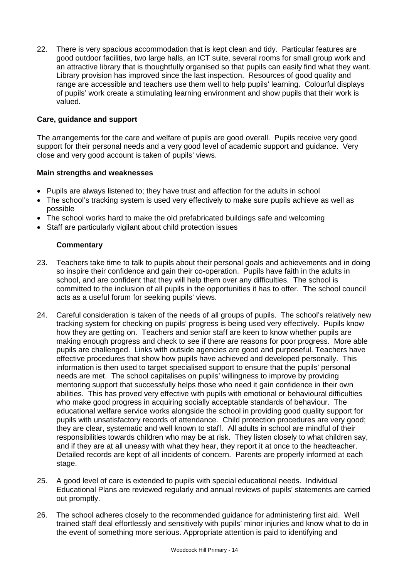22. There is very spacious accommodation that is kept clean and tidy. Particular features are good outdoor facilities, two large halls, an ICT suite, several rooms for small group work and an attractive library that is thoughtfully organised so that pupils can easily find what they want. Library provision has improved since the last inspection. Resources of good quality and range are accessible and teachers use them well to help pupils' learning. Colourful displays of pupils' work create a stimulating learning environment and show pupils that their work is valued.

### **Care, guidance and support**

The arrangements for the care and welfare of pupils are good overall. Pupils receive very good support for their personal needs and a very good level of academic support and guidance. Very close and very good account is taken of pupils' views.

#### **Main strengths and weaknesses**

- Pupils are always listened to; they have trust and affection for the adults in school
- The school's tracking system is used very effectively to make sure pupils achieve as well as possible
- The school works hard to make the old prefabricated buildings safe and welcoming
- Staff are particularly vigilant about child protection issues

- 23. Teachers take time to talk to pupils about their personal goals and achievements and in doing so inspire their confidence and gain their co-operation. Pupils have faith in the adults in school, and are confident that they will help them over any difficulties. The school is committed to the inclusion of all pupils in the opportunities it has to offer. The school council acts as a useful forum for seeking pupils' views.
- 24. Careful consideration is taken of the needs of all groups of pupils. The school's relatively new tracking system for checking on pupils' progress is being used very effectively. Pupils know how they are getting on. Teachers and senior staff are keen to know whether pupils are making enough progress and check to see if there are reasons for poor progress. More able pupils are challenged. Links with outside agencies are good and purposeful. Teachers have effective procedures that show how pupils have achieved and developed personally. This information is then used to target specialised support to ensure that the pupils' personal needs are met. The school capitalises on pupils' willingness to improve by providing mentoring support that successfully helps those who need it gain confidence in their own abilities. This has proved very effective with pupils with emotional or behavioural difficulties who make good progress in acquiring socially acceptable standards of behaviour. The educational welfare service works alongside the school in providing good quality support for pupils with unsatisfactory records of attendance. Child protection procedures are very good; they are clear, systematic and well known to staff. All adults in school are mindful of their responsibilities towards children who may be at risk. They listen closely to what children say, and if they are at all uneasy with what they hear, they report it at once to the headteacher. Detailed records are kept of all incidents of concern. Parents are properly informed at each stage.
- 25. A good level of care is extended to pupils with special educational needs. Individual Educational Plans are reviewed regularly and annual reviews of pupils' statements are carried out promptly.
- 26. The school adheres closely to the recommended guidance for administering first aid. Well trained staff deal effortlessly and sensitively with pupils' minor injuries and know what to do in the event of something more serious. Appropriate attention is paid to identifying and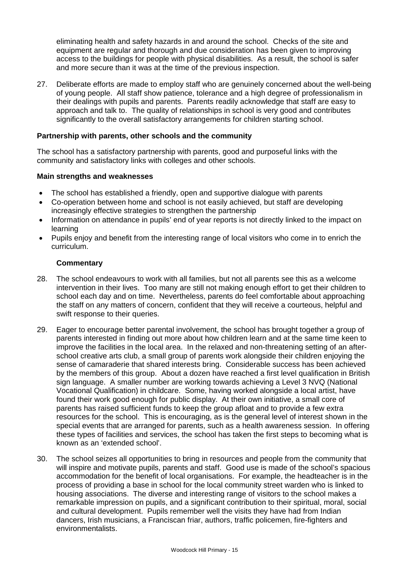eliminating health and safety hazards in and around the school. Checks of the site and equipment are regular and thorough and due consideration has been given to improving access to the buildings for people with physical disabilities. As a result, the school is safer and more secure than it was at the time of the previous inspection.

27. Deliberate efforts are made to employ staff who are genuinely concerned about the well-being of young people. All staff show patience, tolerance and a high degree of professionalism in their dealings with pupils and parents. Parents readily acknowledge that staff are easy to approach and talk to. The quality of relationships in school is very good and contributes significantly to the overall satisfactory arrangements for children starting school.

### **Partnership with parents, other schools and the community**

The school has a satisfactory partnership with parents, good and purposeful links with the community and satisfactory links with colleges and other schools.

### **Main strengths and weaknesses**

- The school has established a friendly, open and supportive dialogue with parents
- Co-operation between home and school is not easily achieved, but staff are developing increasingly effective strategies to strengthen the partnership
- Information on attendance in pupils' end of year reports is not directly linked to the impact on learning
- Pupils enjoy and benefit from the interesting range of local visitors who come in to enrich the curriculum.

- 28. The school endeavours to work with all families, but not all parents see this as a welcome intervention in their lives. Too many are still not making enough effort to get their children to school each day and on time. Nevertheless, parents do feel comfortable about approaching the staff on any matters of concern, confident that they will receive a courteous, helpful and swift response to their queries.
- 29. Eager to encourage better parental involvement, the school has brought together a group of parents interested in finding out more about how children learn and at the same time keen to improve the facilities in the local area. In the relaxed and non-threatening setting of an afterschool creative arts club, a small group of parents work alongside their children enjoying the sense of camaraderie that shared interests bring. Considerable success has been achieved by the members of this group. About a dozen have reached a first level qualification in British sign language. A smaller number are working towards achieving a Level 3 NVQ (National Vocational Qualification) in childcare. Some, having worked alongside a local artist, have found their work good enough for public display. At their own initiative, a small core of parents has raised sufficient funds to keep the group afloat and to provide a few extra resources for the school. This is encouraging, as is the general level of interest shown in the special events that are arranged for parents, such as a health awareness session. In offering these types of facilities and services, the school has taken the first steps to becoming what is known as an 'extended school'.
- 30. The school seizes all opportunities to bring in resources and people from the community that will inspire and motivate pupils, parents and staff. Good use is made of the school's spacious accommodation for the benefit of local organisations. For example, the headteacher is in the process of providing a base in school for the local community street warden who is linked to housing associations. The diverse and interesting range of visitors to the school makes a remarkable impression on pupils, and a significant contribution to their spiritual, moral, social and cultural development. Pupils remember well the visits they have had from Indian dancers, Irish musicians, a Franciscan friar, authors, traffic policemen, fire-fighters and environmentalists.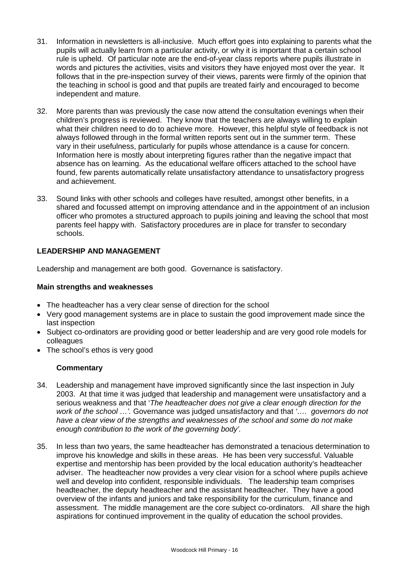- 31. Information in newsletters is all-inclusive. Much effort goes into explaining to parents what the pupils will actually learn from a particular activity, or why it is important that a certain school rule is upheld. Of particular note are the end-of-year class reports where pupils illustrate in words and pictures the activities, visits and visitors they have enjoyed most over the year. It follows that in the pre-inspection survey of their views, parents were firmly of the opinion that the teaching in school is good and that pupils are treated fairly and encouraged to become independent and mature.
- 32. More parents than was previously the case now attend the consultation evenings when their children's progress is reviewed. They know that the teachers are always willing to explain what their children need to do to achieve more. However, this helpful style of feedback is not always followed through in the formal written reports sent out in the summer term. These vary in their usefulness, particularly for pupils whose attendance is a cause for concern. Information here is mostly about interpreting figures rather than the negative impact that absence has on learning. As the educational welfare officers attached to the school have found, few parents automatically relate unsatisfactory attendance to unsatisfactory progress and achievement.
- 33. Sound links with other schools and colleges have resulted, amongst other benefits, in a shared and focussed attempt on improving attendance and in the appointment of an inclusion officer who promotes a structured approach to pupils joining and leaving the school that most parents feel happy with. Satisfactory procedures are in place for transfer to secondary schools.

### **LEADERSHIP AND MANAGEMENT**

Leadership and management are both good. Governance is satisfactory.

#### **Main strengths and weaknesses**

- The headteacher has a very clear sense of direction for the school
- Very good management systems are in place to sustain the good improvement made since the last inspection
- Subject co-ordinators are providing good or better leadership and are very good role models for colleagues
- The school's ethos is very good

- 34. Leadership and management have improved significantly since the last inspection in July 2003. At that time it was judged that leadership and management were unsatisfactory and a serious weakness and that '*The headteacher does not give a clear enough direction for the work of the school …'.* Governance was judged unsatisfactory and that *'…. governors do not have a clear view of the strengths and weaknesses of the school and some do not make enough contribution to the work of the governing body'.*
- 35. In less than two years, the same headteacher has demonstrated a tenacious determination to improve his knowledge and skills in these areas. He has been very successful. Valuable expertise and mentorship has been provided by the local education authority's headteacher adviser. The headteacher now provides a very clear vision for a school where pupils achieve well and develop into confident, responsible individuals. The leadership team comprises headteacher, the deputy headteacher and the assistant headteacher. They have a good overview of the infants and juniors and take responsibility for the curriculum, finance and assessment. The middle management are the core subject co-ordinators. All share the high aspirations for continued improvement in the quality of education the school provides.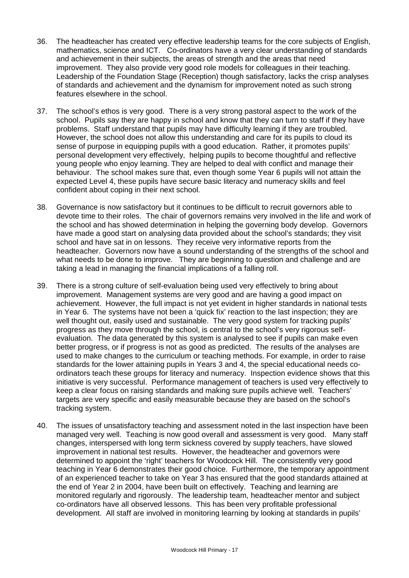- 36. The headteacher has created very effective leadership teams for the core subjects of English, mathematics, science and ICT. Co-ordinators have a very clear understanding of standards and achievement in their subjects, the areas of strength and the areas that need improvement. They also provide very good role models for colleagues in their teaching. Leadership of the Foundation Stage (Reception) though satisfactory, lacks the crisp analyses of standards and achievement and the dynamism for improvement noted as such strong features elsewhere in the school.
- 37. The school's ethos is very good. There is a very strong pastoral aspect to the work of the school. Pupils say they are happy in school and know that they can turn to staff if they have problems. Staff understand that pupils may have difficulty learning if they are troubled. However, the school does not allow this understanding and care for its pupils to cloud its sense of purpose in equipping pupils with a good education. Rather, it promotes pupils' personal development very effectively, helping pupils to become thoughtful and reflective young people who enjoy learning. They are helped to deal with conflict and manage their behaviour. The school makes sure that, even though some Year 6 pupils will not attain the expected Level 4, these pupils have secure basic literacy and numeracy skills and feel confident about coping in their next school.
- 38. Governance is now satisfactory but it continues to be difficult to recruit governors able to devote time to their roles. The chair of governors remains very involved in the life and work of the school and has showed determination in helping the governing body develop. Governors have made a good start on analysing data provided about the school's standards; they visit school and have sat in on lessons. They receive very informative reports from the headteacher. Governors now have a sound understanding of the strengths of the school and what needs to be done to improve. They are beginning to question and challenge and are taking a lead in managing the financial implications of a falling roll.
- 39. There is a strong culture of self-evaluation being used very effectively to bring about improvement. Management systems are very good and are having a good impact on achievement. However, the full impact is not yet evident in higher standards in national tests in Year 6. The systems have not been a 'quick fix' reaction to the last inspection; they are well thought out, easily used and sustainable. The very good system for tracking pupils' progress as they move through the school, is central to the school's very rigorous selfevaluation. The data generated by this system is analysed to see if pupils can make even better progress, or if progress is not as good as predicted. The results of the analyses are used to make changes to the curriculum or teaching methods. For example, in order to raise standards for the lower attaining pupils in Years 3 and 4, the special educational needs coordinators teach these groups for literacy and numeracy. Inspection evidence shows that this initiative is very successful. Performance management of teachers is used very effectively to keep a clear focus on raising standards and making sure pupils achieve well. Teachers' targets are very specific and easily measurable because they are based on the school's tracking system.
- 40. The issues of unsatisfactory teaching and assessment noted in the last inspection have been managed very well. Teaching is now good overall and assessment is very good. Many staff changes, interspersed with long term sickness covered by supply teachers, have slowed improvement in national test results. However, the headteacher and governors were determined to appoint the 'right' teachers for Woodcock Hill. The consistently very good teaching in Year 6 demonstrates their good choice. Furthermore, the temporary appointment of an experienced teacher to take on Year 3 has ensured that the good standards attained at the end of Year 2 in 2004, have been built on effectively. Teaching and learning are monitored regularly and rigorously. The leadership team, headteacher mentor and subject co-ordinators have all observed lessons. This has been very profitable professional development. All staff are involved in monitoring learning by looking at standards in pupils'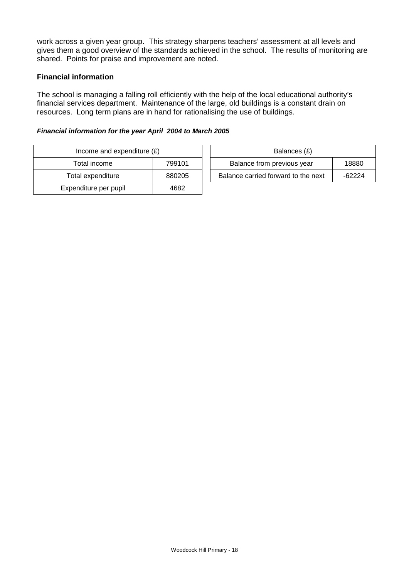work across a given year group. This strategy sharpens teachers' assessment at all levels and gives them a good overview of the standards achieved in the school. The results of monitoring are shared. Points for praise and improvement are noted.

### **Financial information**

The school is managing a falling roll efficiently with the help of the local educational authority's financial services department. Maintenance of the large, old buildings is a constant drain on resources. Long term plans are in hand for rationalising the use of buildings.

#### *Financial information for the year April 2004 to March 2005*

| Income and expenditure $(E)$ | Balances (£) |                                |
|------------------------------|--------------|--------------------------------|
| Total income<br>799101       |              | Balance from previous year     |
| Total expenditure            | 880205       | Balance carried forward to the |
| Expenditure per pupil        | 4682         |                                |

| Income and expenditure $(E)$ |        | Balances (£)                        |        |
|------------------------------|--------|-------------------------------------|--------|
| Total income                 | 799101 | Balance from previous year          | 18880  |
| Total expenditure            | 880205 | Balance carried forward to the next | -62224 |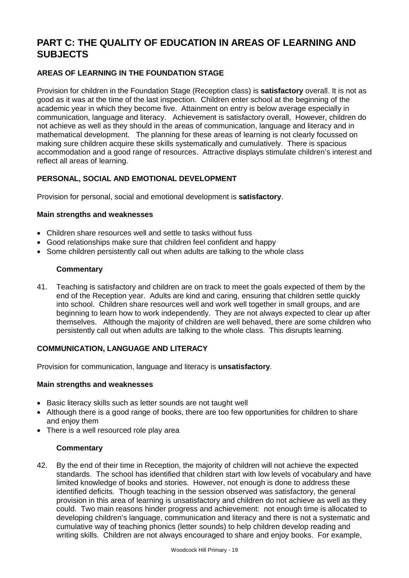# **PART C: THE QUALITY OF EDUCATION IN AREAS OF LEARNING AND SUBJECTS**

# **AREAS OF LEARNING IN THE FOUNDATION STAGE**

Provision for children in the Foundation Stage (Reception class) is **satisfactory** overall. It is not as good as it was at the time of the last inspection. Children enter school at the beginning of the academic year in which they become five. Attainment on entry is below average especially in communication, language and literacy. Achievement is satisfactory overall, However, children do not achieve as well as they should in the areas of communication, language and literacy and in mathematical development. The planning for these areas of learning is not clearly focussed on making sure children acquire these skills systematically and cumulatively. There is spacious accommodation and a good range of resources. Attractive displays stimulate children's interest and reflect all areas of learning.

# **PERSONAL, SOCIAL AND EMOTIONAL DEVELOPMENT**

Provision for personal, social and emotional development is **satisfactory**.

### **Main strengths and weaknesses**

- Children share resources well and settle to tasks without fuss
- Good relationships make sure that children feel confident and happy
- Some children persistently call out when adults are talking to the whole class

### **Commentary**

41. Teaching is satisfactory and children are on track to meet the goals expected of them by the end of the Reception year. Adults are kind and caring, ensuring that children settle quickly into school. Children share resources well and work well together in small groups, and are beginning to learn how to work independently. They are not always expected to clear up after themselves. Although the majority of children are well behaved, there are some children who persistently call out when adults are talking to the whole class. This disrupts learning.

# **COMMUNICATION, LANGUAGE AND LITERACY**

Provision for communication, language and literacy is **unsatisfactory**.

### **Main strengths and weaknesses**

- Basic literacy skills such as letter sounds are not taught well
- Although there is a good range of books, there are too few opportunities for children to share and enjoy them
- There is a well resourced role play area

### **Commentary**

42. By the end of their time in Reception, the majority of children will not achieve the expected standards. The school has identified that children start with low levels of vocabulary and have limited knowledge of books and stories. However, not enough is done to address these identified deficits. Though teaching in the session observed was satisfactory, the general provision in this area of learning is unsatisfactory and children do not achieve as well as they could. Two main reasons hinder progress and achievement: not enough time is allocated to developing children's language, communication and literacy and there is not a systematic and cumulative way of teaching phonics (letter sounds) to help children develop reading and writing skills. Children are not always encouraged to share and enjoy books. For example,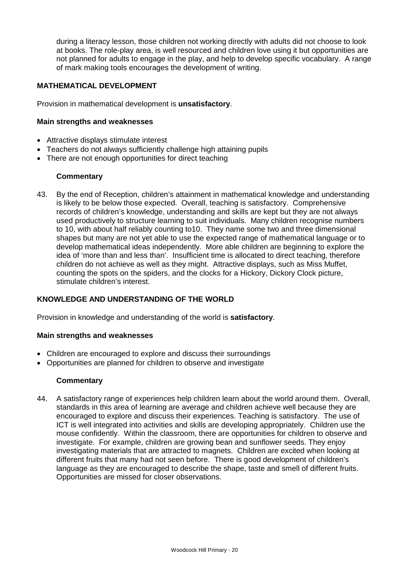during a literacy lesson, those children not working directly with adults did not choose to look at books. The role-play area, is well resourced and children love using it but opportunities are not planned for adults to engage in the play, and help to develop specific vocabulary. A range of mark making tools encourages the development of writing.

### **MATHEMATICAL DEVELOPMENT**

Provision in mathematical development is **unsatisfactory**.

### **Main strengths and weaknesses**

- Attractive displays stimulate interest
- Teachers do not always sufficiently challenge high attaining pupils
- There are not enough opportunities for direct teaching

### **Commentary**

43. By the end of Reception, children's attainment in mathematical knowledge and understanding is likely to be below those expected. Overall, teaching is satisfactory. Comprehensive records of children's knowledge, understanding and skills are kept but they are not always used productively to structure learning to suit individuals. Many children recognise numbers to 10, with about half reliably counting to10. They name some two and three dimensional shapes but many are not yet able to use the expected range of mathematical language or to develop mathematical ideas independently. More able children are beginning to explore the idea of 'more than and less than'. Insufficient time is allocated to direct teaching, therefore children do not achieve as well as they might. Attractive displays, such as Miss Muffet, counting the spots on the spiders, and the clocks for a Hickory, Dickory Clock picture, stimulate children's interest.

# **KNOWLEDGE AND UNDERSTANDING OF THE WORLD**

Provision in knowledge and understanding of the world is **satisfactory**.

#### **Main strengths and weaknesses**

- Children are encouraged to explore and discuss their surroundings
- Opportunities are planned for children to observe and investigate

### **Commentary**

44. A satisfactory range of experiences help children learn about the world around them. Overall, standards in this area of learning are average and children achieve well because they are encouraged to explore and discuss their experiences. Teaching is satisfactory. The use of ICT is well integrated into activities and skills are developing appropriately. Children use the mouse confidently. Within the classroom, there are opportunities for children to observe and investigate. For example, children are growing bean and sunflower seeds. They enjoy investigating materials that are attracted to magnets. Children are excited when looking at different fruits that many had not seen before. There is good development of children's language as they are encouraged to describe the shape, taste and smell of different fruits. Opportunities are missed for closer observations.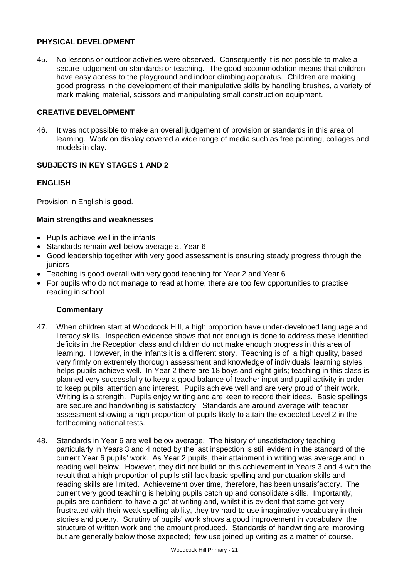### **PHYSICAL DEVELOPMENT**

45. No lessons or outdoor activities were observed. Consequently it is not possible to make a secure judgement on standards or teaching. The good accommodation means that children have easy access to the playground and indoor climbing apparatus. Children are making good progress in the development of their manipulative skills by handling brushes, a variety of mark making material, scissors and manipulating small construction equipment.

### **CREATIVE DEVELOPMENT**

46. It was not possible to make an overall judgement of provision or standards in this area of learning. Work on display covered a wide range of media such as free painting, collages and models in clay.

### **SUBJECTS IN KEY STAGES 1 AND 2**

#### **ENGLISH**

Provision in English is **good**.

#### **Main strengths and weaknesses**

- Pupils achieve well in the infants
- Standards remain well below average at Year 6
- Good leadership together with very good assessment is ensuring steady progress through the juniors
- Teaching is good overall with very good teaching for Year 2 and Year 6
- For pupils who do not manage to read at home, there are too few opportunities to practise reading in school

- 47. When children start at Woodcock Hill, a high proportion have under-developed language and literacy skills. Inspection evidence shows that not enough is done to address these identified deficits in the Reception class and children do not make enough progress in this area of learning. However, in the infants it is a different story. Teaching is of a high quality, based very firmly on extremely thorough assessment and knowledge of individuals' learning styles helps pupils achieve well. In Year 2 there are 18 boys and eight girls; teaching in this class is planned very successfully to keep a good balance of teacher input and pupil activity in order to keep pupils' attention and interest. Pupils achieve well and are very proud of their work. Writing is a strength. Pupils enjoy writing and are keen to record their ideas. Basic spellings are secure and handwriting is satisfactory. Standards are around average with teacher assessment showing a high proportion of pupils likely to attain the expected Level 2 in the forthcoming national tests.
- 48. Standards in Year 6 are well below average. The history of unsatisfactory teaching particularly in Years 3 and 4 noted by the last inspection is still evident in the standard of the current Year 6 pupils' work. As Year 2 pupils, their attainment in writing was average and in reading well below. However, they did not build on this achievement in Years 3 and 4 with the result that a high proportion of pupils still lack basic spelling and punctuation skills and reading skills are limited. Achievement over time, therefore, has been unsatisfactory. The current very good teaching is helping pupils catch up and consolidate skills. Importantly, pupils are confident 'to have a go' at writing and, whilst it is evident that some get very frustrated with their weak spelling ability, they try hard to use imaginative vocabulary in their stories and poetry. Scrutiny of pupils' work shows a good improvement in vocabulary, the structure of written work and the amount produced. Standards of handwriting are improving but are generally below those expected; few use joined up writing as a matter of course.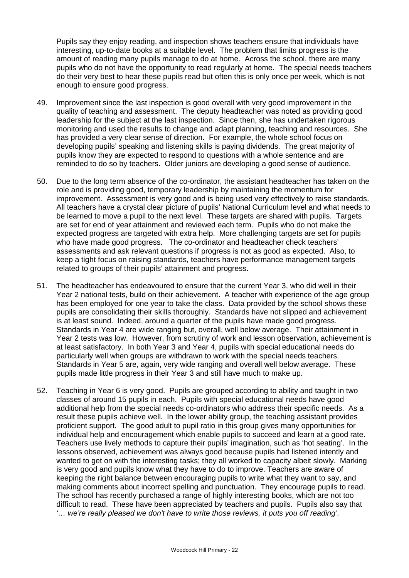Pupils say they enjoy reading, and inspection shows teachers ensure that individuals have interesting, up-to-date books at a suitable level. The problem that limits progress is the amount of reading many pupils manage to do at home. Across the school, there are many pupils who do not have the opportunity to read regularly at home. The special needs teachers do their very best to hear these pupils read but often this is only once per week, which is not enough to ensure good progress.

- 49. Improvement since the last inspection is good overall with very good improvement in the quality of teaching and assessment. The deputy headteacher was noted as providing good leadership for the subject at the last inspection. Since then, she has undertaken rigorous monitoring and used the results to change and adapt planning, teaching and resources. She has provided a very clear sense of direction. For example, the whole school focus on developing pupils' speaking and listening skills is paying dividends. The great majority of pupils know they are expected to respond to questions with a whole sentence and are reminded to do so by teachers. Older juniors are developing a good sense of audience.
- 50. Due to the long term absence of the co-ordinator, the assistant headteacher has taken on the role and is providing good, temporary leadership by maintaining the momentum for improvement. Assessment is very good and is being used very effectively to raise standards. All teachers have a crystal clear picture of pupils' National Curriculum level and what needs to be learned to move a pupil to the next level. These targets are shared with pupils. Targets are set for end of year attainment and reviewed each term. Pupils who do not make the expected progress are targeted with extra help. More challenging targets are set for pupils who have made good progress. The co-ordinator and headteacher check teachers' assessments and ask relevant questions if progress is not as good as expected. Also, to keep a tight focus on raising standards, teachers have performance management targets related to groups of their pupils' attainment and progress.
- 51. The headteacher has endeavoured to ensure that the current Year 3, who did well in their Year 2 national tests, build on their achievement. A teacher with experience of the age group has been employed for one year to take the class. Data provided by the school shows these pupils are consolidating their skills thoroughly. Standards have not slipped and achievement is at least sound. Indeed, around a quarter of the pupils have made good progress. Standards in Year 4 are wide ranging but, overall, well below average. Their attainment in Year 2 tests was low. However, from scrutiny of work and lesson observation, achievement is at least satisfactory. In both Year 3 and Year 4, pupils with special educational needs do particularly well when groups are withdrawn to work with the special needs teachers. Standards in Year 5 are, again, very wide ranging and overall well below average. These pupils made little progress in their Year 3 and still have much to make up.
- 52. Teaching in Year 6 is very good. Pupils are grouped according to ability and taught in two classes of around 15 pupils in each. Pupils with special educational needs have good additional help from the special needs co-ordinators who address their specific needs. As a result these pupils achieve well. In the lower ability group, the teaching assistant provides proficient support. The good adult to pupil ratio in this group gives many opportunities for individual help and encouragement which enable pupils to succeed and learn at a good rate. Teachers use lively methods to capture their pupils' imagination, such as 'hot seating'. In the lessons observed, achievement was always good because pupils had listened intently and wanted to get on with the interesting tasks; they all worked to capacity albeit slowly. Marking is very good and pupils know what they have to do to improve. Teachers are aware of keeping the right balance between encouraging pupils to write what they want to say, and making comments about incorrect spelling and punctuation. They encourage pupils to read. The school has recently purchased a range of highly interesting books, which are not too difficult to read. These have been appreciated by teachers and pupils. Pupils also say that *'… we're really pleased we don't have to write those reviews, it puts you off reading'*.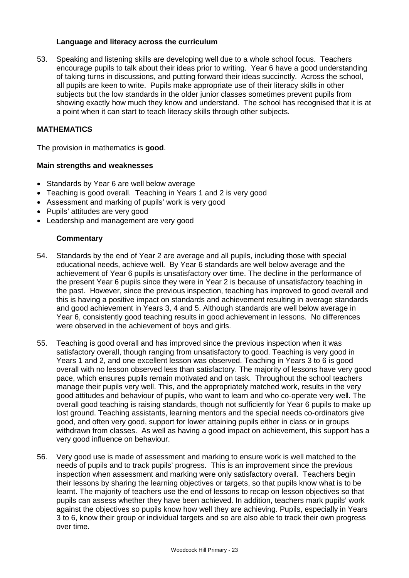### **Language and literacy across the curriculum**

53. Speaking and listening skills are developing well due to a whole school focus. Teachers encourage pupils to talk about their ideas prior to writing. Year 6 have a good understanding of taking turns in discussions, and putting forward their ideas succinctly. Across the school, all pupils are keen to write. Pupils make appropriate use of their literacy skills in other subjects but the low standards in the older junior classes sometimes prevent pupils from showing exactly how much they know and understand. The school has recognised that it is at a point when it can start to teach literacy skills through other subjects.

### **MATHEMATICS**

The provision in mathematics is **good**.

### **Main strengths and weaknesses**

- Standards by Year 6 are well below average
- Teaching is good overall. Teaching in Years 1 and 2 is very good
- Assessment and marking of pupils' work is very good
- Pupils' attitudes are very good
- Leadership and management are very good

- 54. Standards by the end of Year 2 are average and all pupils, including those with special educational needs, achieve well. By Year 6 standards are well below average and the achievement of Year 6 pupils is unsatisfactory over time. The decline in the performance of the present Year 6 pupils since they were in Year 2 is because of unsatisfactory teaching in the past. However, since the previous inspection, teaching has improved to good overall and this is having a positive impact on standards and achievement resulting in average standards and good achievement in Years 3, 4 and 5. Although standards are well below average in Year 6, consistently good teaching results in good achievement in lessons. No differences were observed in the achievement of boys and girls.
- 55. Teaching is good overall and has improved since the previous inspection when it was satisfactory overall, though ranging from unsatisfactory to good. Teaching is very good in Years 1 and 2, and one excellent lesson was observed. Teaching in Years 3 to 6 is good overall with no lesson observed less than satisfactory. The majority of lessons have very good pace, which ensures pupils remain motivated and on task. Throughout the school teachers manage their pupils very well. This, and the appropriately matched work, results in the very good attitudes and behaviour of pupils, who want to learn and who co-operate very well. The overall good teaching is raising standards, though not sufficiently for Year 6 pupils to make up lost ground. Teaching assistants, learning mentors and the special needs co-ordinators give good, and often very good, support for lower attaining pupils either in class or in groups withdrawn from classes. As well as having a good impact on achievement, this support has a very good influence on behaviour.
- 56. Very good use is made of assessment and marking to ensure work is well matched to the needs of pupils and to track pupils' progress. This is an improvement since the previous inspection when assessment and marking were only satisfactory overall. Teachers begin their lessons by sharing the learning objectives or targets, so that pupils know what is to be learnt. The majority of teachers use the end of lessons to recap on lesson objectives so that pupils can assess whether they have been achieved. In addition, teachers mark pupils' work against the objectives so pupils know how well they are achieving. Pupils, especially in Years 3 to 6, know their group or individual targets and so are also able to track their own progress over time.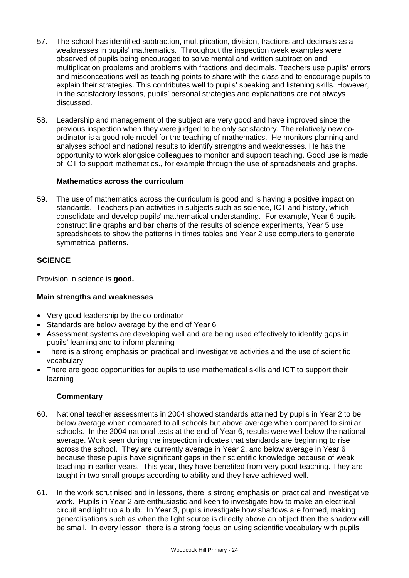- 57. The school has identified subtraction, multiplication, division, fractions and decimals as a weaknesses in pupils' mathematics. Throughout the inspection week examples were observed of pupils being encouraged to solve mental and written subtraction and multiplication problems and problems with fractions and decimals. Teachers use pupils' errors and misconceptions well as teaching points to share with the class and to encourage pupils to explain their strategies. This contributes well to pupils' speaking and listening skills. However, in the satisfactory lessons, pupils' personal strategies and explanations are not always discussed.
- 58. Leadership and management of the subject are very good and have improved since the previous inspection when they were judged to be only satisfactory. The relatively new coordinator is a good role model for the teaching of mathematics. He monitors planning and analyses school and national results to identify strengths and weaknesses. He has the opportunity to work alongside colleagues to monitor and support teaching. Good use is made of ICT to support mathematics., for example through the use of spreadsheets and graphs.

### **Mathematics across the curriculum**

59. The use of mathematics across the curriculum is good and is having a positive impact on standards. Teachers plan activities in subjects such as science, ICT and history, which consolidate and develop pupils' mathematical understanding. For example, Year 6 pupils construct line graphs and bar charts of the results of science experiments, Year 5 use spreadsheets to show the patterns in times tables and Year 2 use computers to generate symmetrical patterns.

# **SCIENCE**

Provision in science is **good.**

# **Main strengths and weaknesses**

- Very good leadership by the co-ordinator
- Standards are below average by the end of Year 6
- Assessment systems are developing well and are being used effectively to identify gaps in pupils' learning and to inform planning
- There is a strong emphasis on practical and investigative activities and the use of scientific vocabulary
- There are good opportunities for pupils to use mathematical skills and ICT to support their learning

- 60. National teacher assessments in 2004 showed standards attained by pupils in Year 2 to be below average when compared to all schools but above average when compared to similar schools. In the 2004 national tests at the end of Year 6, results were well below the national average. Work seen during the inspection indicates that standards are beginning to rise across the school. They are currently average in Year 2, and below average in Year 6 because these pupils have significant gaps in their scientific knowledge because of weak teaching in earlier years. This year, they have benefited from very good teaching. They are taught in two small groups according to ability and they have achieved well.
- 61. In the work scrutinised and in lessons, there is strong emphasis on practical and investigative work. Pupils in Year 2 are enthusiastic and keen to investigate how to make an electrical circuit and light up a bulb. In Year 3, pupils investigate how shadows are formed, making generalisations such as when the light source is directly above an object then the shadow will be small. In every lesson, there is a strong focus on using scientific vocabulary with pupils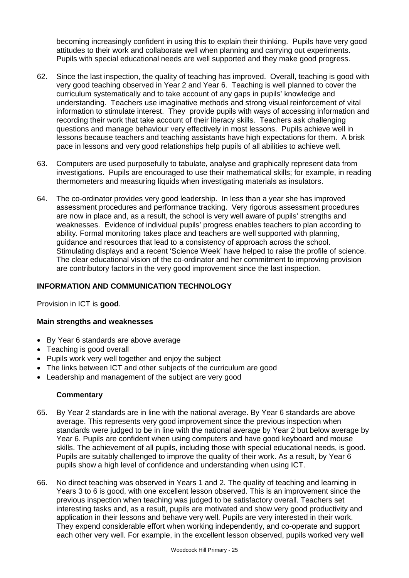becoming increasingly confident in using this to explain their thinking. Pupils have very good attitudes to their work and collaborate well when planning and carrying out experiments. Pupils with special educational needs are well supported and they make good progress.

- 62. Since the last inspection, the quality of teaching has improved. Overall, teaching is good with very good teaching observed in Year 2 and Year 6. Teaching is well planned to cover the curriculum systematically and to take account of any gaps in pupils' knowledge and understanding. Teachers use imaginative methods and strong visual reinforcement of vital information to stimulate interest. They provide pupils with ways of accessing information and recording their work that take account of their literacy skills. Teachers ask challenging questions and manage behaviour very effectively in most lessons. Pupils achieve well in lessons because teachers and teaching assistants have high expectations for them. A brisk pace in lessons and very good relationships help pupils of all abilities to achieve well.
- 63. Computers are used purposefully to tabulate, analyse and graphically represent data from investigations. Pupils are encouraged to use their mathematical skills; for example, in reading thermometers and measuring liquids when investigating materials as insulators.
- 64. The co-ordinator provides very good leadership. In less than a year she has improved assessment procedures and performance tracking. Very rigorous assessment procedures are now in place and, as a result, the school is very well aware of pupils' strengths and weaknesses. Evidence of individual pupils' progress enables teachers to plan according to ability. Formal monitoring takes place and teachers are well supported with planning, guidance and resources that lead to a consistency of approach across the school. Stimulating displays and a recent 'Science Week' have helped to raise the profile of science. The clear educational vision of the co-ordinator and her commitment to improving provision are contributory factors in the very good improvement since the last inspection.

### **INFORMATION AND COMMUNICATION TECHNOLOGY**

Provision in ICT is **good**.

### **Main strengths and weaknesses**

- By Year 6 standards are above average
- Teaching is good overall
- Pupils work very well together and enjoy the subject
- The links between ICT and other subjects of the curriculum are good
- Leadership and management of the subject are very good

- 65. By Year 2 standards are in line with the national average. By Year 6 standards are above average. This represents very good improvement since the previous inspection when standards were judged to be in line with the national average by Year 2 but below average by Year 6. Pupils are confident when using computers and have good keyboard and mouse skills. The achievement of all pupils, including those with special educational needs, is good. Pupils are suitably challenged to improve the quality of their work. As a result, by Year 6 pupils show a high level of confidence and understanding when using ICT.
- 66. No direct teaching was observed in Years 1 and 2. The quality of teaching and learning in Years 3 to 6 is good, with one excellent lesson observed. This is an improvement since the previous inspection when teaching was judged to be satisfactory overall. Teachers set interesting tasks and, as a result, pupils are motivated and show very good productivity and application in their lessons and behave very well. Pupils are very interested in their work. They expend considerable effort when working independently, and co-operate and support each other very well. For example, in the excellent lesson observed, pupils worked very well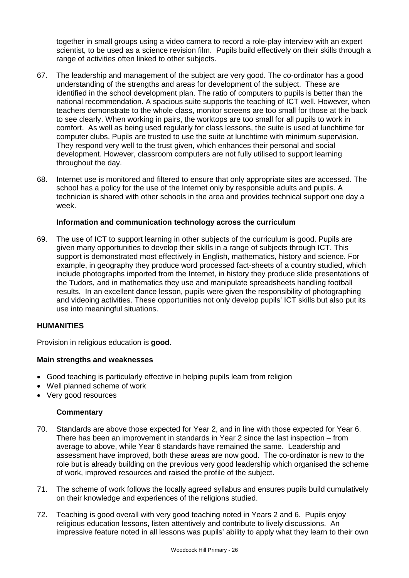together in small groups using a video camera to record a role-play interview with an expert scientist, to be used as a science revision film. Pupils build effectively on their skills through a range of activities often linked to other subjects.

- 67. The leadership and management of the subject are very good. The co-ordinator has a good understanding of the strengths and areas for development of the subject. These are identified in the school development plan. The ratio of computers to pupils is better than the national recommendation. A spacious suite supports the teaching of ICT well. However, when teachers demonstrate to the whole class, monitor screens are too small for those at the back to see clearly. When working in pairs, the worktops are too small for all pupils to work in comfort. As well as being used regularly for class lessons, the suite is used at lunchtime for computer clubs. Pupils are trusted to use the suite at lunchtime with minimum supervision. They respond very well to the trust given, which enhances their personal and social development. However, classroom computers are not fully utilised to support learning throughout the day.
- 68. Internet use is monitored and filtered to ensure that only appropriate sites are accessed. The school has a policy for the use of the Internet only by responsible adults and pupils. A technician is shared with other schools in the area and provides technical support one day a week.

### **Information and communication technology across the curriculum**

69. The use of ICT to support learning in other subjects of the curriculum is good. Pupils are given many opportunities to develop their skills in a range of subjects through ICT. This support is demonstrated most effectively in English, mathematics, history and science. For example, in geography they produce word processed fact-sheets of a country studied, which include photographs imported from the Internet, in history they produce slide presentations of the Tudors, and in mathematics they use and manipulate spreadsheets handling football results. In an excellent dance lesson, pupils were given the responsibility of photographing and videoing activities. These opportunities not only develop pupils' ICT skills but also put its use into meaningful situations.

#### **HUMANITIES**

Provision in religious education is **good.**

#### **Main strengths and weaknesses**

- Good teaching is particularly effective in helping pupils learn from religion
- Well planned scheme of work
- Very good resources

- 70. Standards are above those expected for Year 2, and in line with those expected for Year 6. There has been an improvement in standards in Year 2 since the last inspection – from average to above, while Year 6 standards have remained the same. Leadership and assessment have improved, both these areas are now good. The co-ordinator is new to the role but is already building on the previous very good leadership which organised the scheme of work, improved resources and raised the profile of the subject.
- 71. The scheme of work follows the locally agreed syllabus and ensures pupils build cumulatively on their knowledge and experiences of the religions studied.
- 72. Teaching is good overall with very good teaching noted in Years 2 and 6. Pupils enjoy religious education lessons, listen attentively and contribute to lively discussions. An impressive feature noted in all lessons was pupils' ability to apply what they learn to their own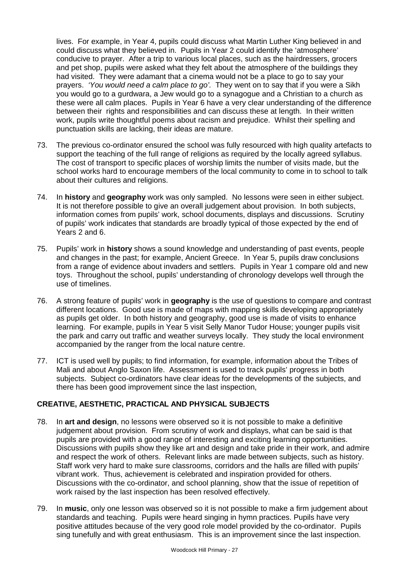lives. For example, in Year 4, pupils could discuss what Martin Luther King believed in and could discuss what they believed in. Pupils in Year 2 could identify the 'atmosphere' conducive to prayer. After a trip to various local places, such as the hairdressers, grocers and pet shop, pupils were asked what they felt about the atmosphere of the buildings they had visited. They were adamant that a cinema would not be a place to go to say your prayers. *'You would need a calm place to go'.* They went on to say that if you were a Sikh you would go to a gurdwara, a Jew would go to a synagogue and a Christian to a church as these were all calm places. Pupils in Year 6 have a very clear understanding of the difference between their rights and responsibilities and can discuss these at length. In their written work, pupils write thoughtful poems about racism and prejudice. Whilst their spelling and punctuation skills are lacking, their ideas are mature.

- 73. The previous co-ordinator ensured the school was fully resourced with high quality artefacts to support the teaching of the full range of religions as required by the locally agreed syllabus. The cost of transport to specific places of worship limits the number of visits made, but the school works hard to encourage members of the local community to come in to school to talk about their cultures and religions.
- 74. In **history** and **geography** work was only sampled. No lessons were seen in either subject. It is not therefore possible to give an overall judgement about provision. In both subjects, information comes from pupils' work, school documents, displays and discussions. Scrutiny of pupils' work indicates that standards are broadly typical of those expected by the end of Years 2 and 6.
- 75. Pupils' work in **history** shows a sound knowledge and understanding of past events, people and changes in the past; for example, Ancient Greece. In Year 5, pupils draw conclusions from a range of evidence about invaders and settlers. Pupils in Year 1 compare old and new toys. Throughout the school, pupils' understanding of chronology develops well through the use of timelines.
- 76. A strong feature of pupils' work in **geography** is the use of questions to compare and contrast different locations. Good use is made of maps with mapping skills developing appropriately as pupils get older. In both history and geography, good use is made of visits to enhance learning. For example, pupils in Year 5 visit Selly Manor Tudor House; younger pupils visit the park and carry out traffic and weather surveys locally. They study the local environment accompanied by the ranger from the local nature centre.
- 77. ICT is used well by pupils; to find information, for example, information about the Tribes of Mali and about Anglo Saxon life. Assessment is used to track pupils' progress in both subjects. Subject co-ordinators have clear ideas for the developments of the subjects, and there has been good improvement since the last inspection,

# **CREATIVE, AESTHETIC, PRACTICAL AND PHYSICAL SUBJECTS**

- 78. In **art and design**, no lessons were observed so it is not possible to make a definitive judgement about provision. From scrutiny of work and displays, what can be said is that pupils are provided with a good range of interesting and exciting learning opportunities. Discussions with pupils show they like art and design and take pride in their work, and admire and respect the work of others. Relevant links are made between subjects, such as history. Staff work very hard to make sure classrooms, corridors and the halls are filled with pupils' vibrant work. Thus, achievement is celebrated and inspiration provided for others. Discussions with the co-ordinator, and school planning, show that the issue of repetition of work raised by the last inspection has been resolved effectively.
- 79. In **music**, only one lesson was observed so it is not possible to make a firm judgement about standards and teaching. Pupils were heard singing in hymn practices. Pupils have very positive attitudes because of the very good role model provided by the co-ordinator. Pupils sing tunefully and with great enthusiasm. This is an improvement since the last inspection.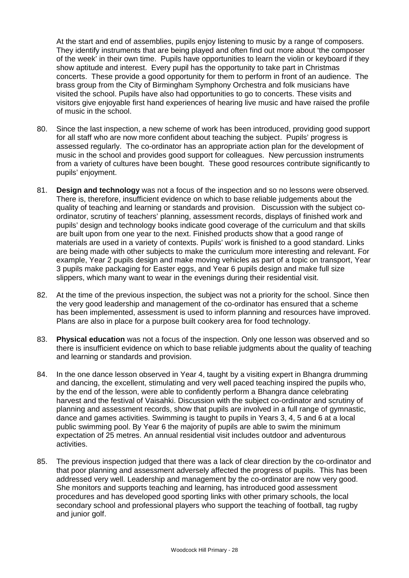At the start and end of assemblies, pupils enjoy listening to music by a range of composers. They identify instruments that are being played and often find out more about 'the composer of the week' in their own time. Pupils have opportunities to learn the violin or keyboard if they show aptitude and interest. Every pupil has the opportunity to take part in Christmas concerts. These provide a good opportunity for them to perform in front of an audience. The brass group from the City of Birmingham Symphony Orchestra and folk musicians have visited the school. Pupils have also had opportunities to go to concerts. These visits and visitors give enjoyable first hand experiences of hearing live music and have raised the profile of music in the school.

- 80. Since the last inspection, a new scheme of work has been introduced, providing good support for all staff who are now more confident about teaching the subject. Pupils' progress is assessed regularly. The co-ordinator has an appropriate action plan for the development of music in the school and provides good support for colleagues. New percussion instruments from a variety of cultures have been bought. These good resources contribute significantly to pupils' enjoyment.
- 81. **Design and technology** was not a focus of the inspection and so no lessons were observed. There is, therefore, insufficient evidence on which to base reliable judgements about the quality of teaching and learning or standards and provision. Discussion with the subject coordinator, scrutiny of teachers' planning, assessment records, displays of finished work and pupils' design and technology books indicate good coverage of the curriculum and that skills are built upon from one year to the next. Finished products show that a good range of materials are used in a variety of contexts. Pupils' work is finished to a good standard. Links are being made with other subjects to make the curriculum more interesting and relevant. For example, Year 2 pupils design and make moving vehicles as part of a topic on transport, Year 3 pupils make packaging for Easter eggs, and Year 6 pupils design and make full size slippers, which many want to wear in the evenings during their residential visit.
- 82. At the time of the previous inspection, the subject was not a priority for the school. Since then the very good leadership and management of the co-ordinator has ensured that a scheme has been implemented, assessment is used to inform planning and resources have improved. Plans are also in place for a purpose built cookery area for food technology.
- 83. **Physical education** was not a focus of the inspection. Only one lesson was observed and so there is insufficient evidence on which to base reliable judgments about the quality of teaching and learning or standards and provision.
- 84. In the one dance lesson observed in Year 4, taught by a visiting expert in Bhangra drumming and dancing, the excellent, stimulating and very well paced teaching inspired the pupils who, by the end of the lesson, were able to confidently perform a Bhangra dance celebrating harvest and the festival of Vaisahki. Discussion with the subject co-ordinator and scrutiny of planning and assessment records, show that pupils are involved in a full range of gymnastic, dance and games activities. Swimming is taught to pupils in Years 3, 4, 5 and 6 at a local public swimming pool. By Year 6 the majority of pupils are able to swim the minimum expectation of 25 metres. An annual residential visit includes outdoor and adventurous activities.
- 85. The previous inspection judged that there was a lack of clear direction by the co-ordinator and that poor planning and assessment adversely affected the progress of pupils. This has been addressed very well. Leadership and management by the co-ordinator are now very good. She monitors and supports teaching and learning, has introduced good assessment procedures and has developed good sporting links with other primary schools, the local secondary school and professional players who support the teaching of football, tag rugby and junior golf.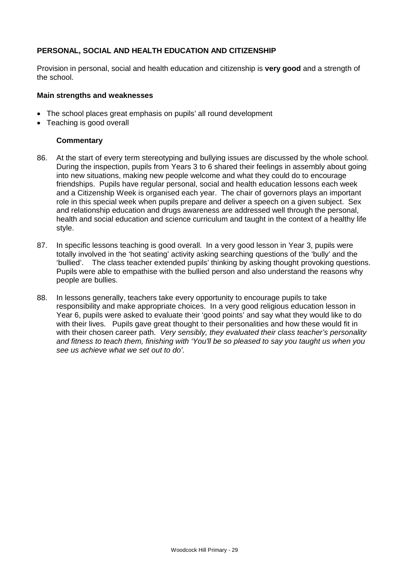### **PERSONAL, SOCIAL AND HEALTH EDUCATION AND CITIZENSHIP**

Provision in personal, social and health education and citizenship is **very good** and a strength of the school.

#### **Main strengths and weaknesses**

- The school places great emphasis on pupils' all round development
- Teaching is good overall

- 86. At the start of every term stereotyping and bullying issues are discussed by the whole school. During the inspection, pupils from Years 3 to 6 shared their feelings in assembly about going into new situations, making new people welcome and what they could do to encourage friendships. Pupils have regular personal, social and health education lessons each week and a Citizenship Week is organised each year. The chair of governors plays an important role in this special week when pupils prepare and deliver a speech on a given subject. Sex and relationship education and drugs awareness are addressed well through the personal, health and social education and science curriculum and taught in the context of a healthy life style.
- 87. In specific lessons teaching is good overall. In a very good lesson in Year 3, pupils were totally involved in the 'hot seating' activity asking searching questions of the 'bully' and the 'bullied'. The class teacher extended pupils' thinking by asking thought provoking questions. Pupils were able to empathise with the bullied person and also understand the reasons why people are bullies.
- 88. In lessons generally, teachers take every opportunity to encourage pupils to take responsibility and make appropriate choices. In a very good religious education lesson in Year 6, pupils were asked to evaluate their 'good points' and say what they would like to do with their lives. Pupils gave great thought to their personalities and how these would fit in with their chosen career path. *Very sensibly, they evaluated their class teacher's personality and fitness to teach them, finishing with 'You'll be so pleased to say you taught us when you see us achieve what we set out to do'.*